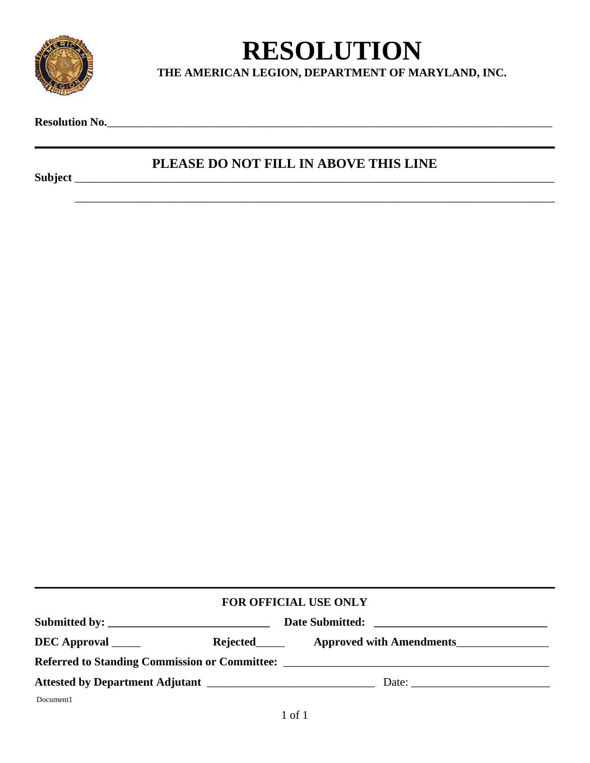

## **RESOLUTION**

**THE AMERICAN LEGION, DEPARTMENT OF MARYLAND, INC.**

**Resolution No.**\_\_\_\_\_\_\_\_\_\_\_\_\_\_\_\_\_\_\_\_\_\_\_\_\_\_\_\_\_\_\_\_\_\_\_\_\_\_\_\_\_\_\_\_\_\_\_\_\_\_\_\_\_\_\_\_\_\_\_\_\_\_\_\_\_\_\_\_\_\_\_\_\_\_\_\_\_

## **PLEASE DO NOT FILL IN ABOVE THIS LINE**

\_\_\_\_\_\_\_\_\_\_\_\_\_\_\_\_\_\_\_\_\_\_\_\_\_\_\_\_\_\_\_\_\_\_\_\_\_\_\_\_\_\_\_\_\_\_\_\_\_\_\_\_\_\_\_\_\_\_\_\_\_\_\_\_\_\_\_\_\_\_\_\_\_\_\_\_\_\_\_\_\_\_\_

**Subject** \_\_\_\_\_\_\_\_\_\_\_\_\_\_\_\_\_\_\_\_\_\_\_\_\_\_\_\_\_\_\_\_\_\_\_\_\_\_\_\_\_\_\_\_\_\_\_\_\_\_\_\_\_\_\_\_\_\_\_\_\_\_\_\_\_\_\_\_\_\_\_\_\_\_\_\_\_\_\_\_\_\_\_

| FOR OFFICIAL USE ONLY                         |  |                          |  |
|-----------------------------------------------|--|--------------------------|--|
|                                               |  |                          |  |
| DEC Approval ______                           |  | Approved with Amendments |  |
| Referred to Standing Commission or Committee: |  |                          |  |
|                                               |  |                          |  |
| Document1                                     |  |                          |  |